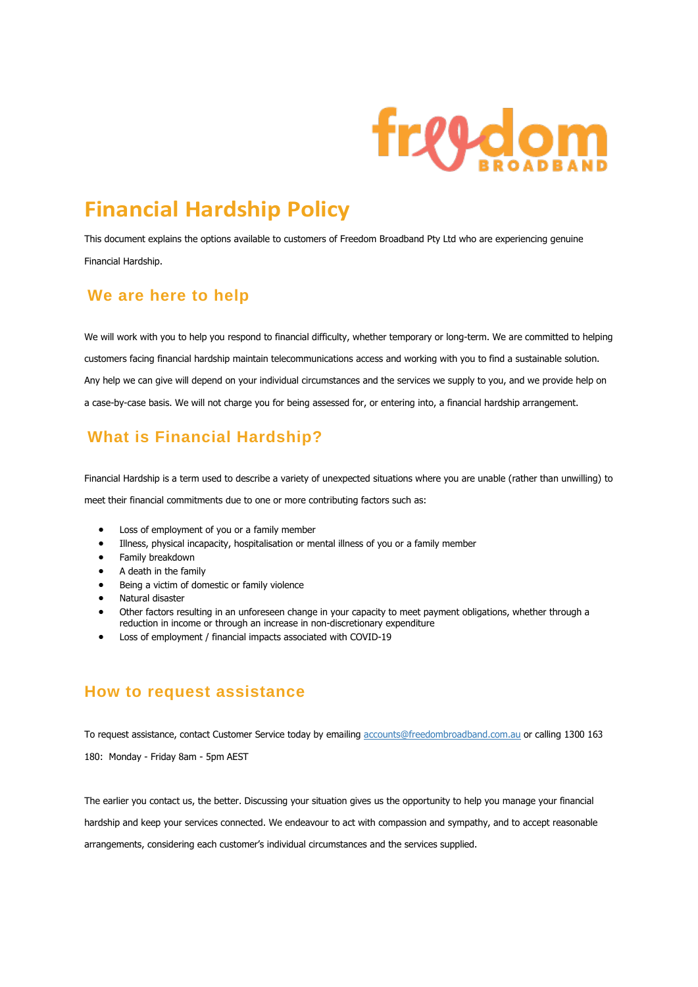

# **Financial Hardship Policy**

This document explains the options available to customers of Freedom Broadband Pty Ltd who are experiencing genuine Financial Hardship.

#### **We are here to help**

We will work with you to help you respond to financial difficulty, whether temporary or long-term. We are committed to helping customers facing financial hardship maintain telecommunications access and working with you to find a sustainable solution. Any help we can give will depend on your individual circumstances and the services we supply to you, and we provide help on a case-by-case basis. We will not charge you for being assessed for, or entering into, a financial hardship arrangement.

# **What is Financial Hardship?**

Financial Hardship is a term used to describe a variety of unexpected situations where you are unable (rather than unwilling) to meet their financial commitments due to one or more contributing factors such as:

- Loss of employment of you or a family member
- Illness, physical incapacity, hospitalisation or mental illness of you or a family member
- Family breakdown
- A death in the family
- Being a victim of domestic or family violence
- Natural disaster
- Other factors resulting in an unforeseen change in your capacity to meet payment obligations, whether through a reduction in income or through an increase in non-discretionary expenditure
- Loss of employment / financial impacts associated with COVID-19

#### **How to request assistance**

To request assistance, contact Customer Service today by emailing accounts@freedombroadband.com.au or calling 1300 163 180: Monday - Friday 8am - 5pm AEST

The earlier you contact us, the better. Discussing your situation gives us the opportunity to help you manage your financial hardship and keep your services connected. We endeavour to act with compassion and sympathy, and to accept reasonable arrangements, considering each customer's individual circumstances and the services supplied.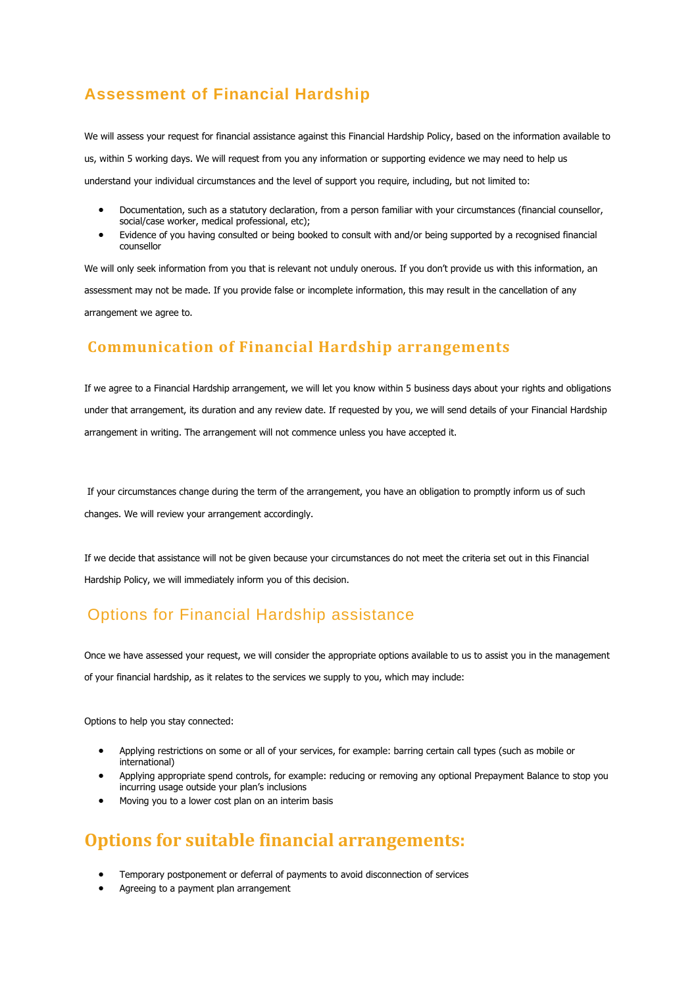# **Assessment of Financial Hardship**

We will assess your request for financial assistance against this Financial Hardship Policy, based on the information available to us, within 5 working days. We will request from you any information or supporting evidence we may need to help us understand your individual circumstances and the level of support you require, including, but not limited to:

- Documentation, such as a statutory declaration, from a person familiar with your circumstances (financial counsellor, social/case worker, medical professional, etc);
- Evidence of you having consulted or being booked to consult with and/or being supported by a recognised financial counsellor

We will only seek information from you that is relevant not unduly onerous. If you don't provide us with this information, an assessment may not be made. If you provide false or incomplete information, this may result in the cancellation of any arrangement we agree to.

### **Communication of Financial Hardship arrangements**

If we agree to a Financial Hardship arrangement, we will let you know within 5 business days about your rights and obligations under that arrangement, its duration and any review date. If requested by you, we will send details of your Financial Hardship arrangement in writing. The arrangement will not commence unless you have accepted it.

If your circumstances change during the term of the arrangement, you have an obligation to promptly inform us of such changes. We will review your arrangement accordingly.

If we decide that assistance will not be given because your circumstances do not meet the criteria set out in this Financial Hardship Policy, we will immediately inform you of this decision.

# Options for Financial Hardship assistance

Once we have assessed your request, we will consider the appropriate options available to us to assist you in the management of your financial hardship, as it relates to the services we supply to you, which may include:

Options to help you stay connected:

- Applying restrictions on some or all of your services, for example: barring certain call types (such as mobile or international)
- Applying appropriate spend controls, for example: reducing or removing any optional Prepayment Balance to stop you incurring usage outside your plan's inclusions
- Moving you to a lower cost plan on an interim basis

# **Options for suitable financial arrangements:**

- Temporary postponement or deferral of payments to avoid disconnection of services
- Agreeing to a payment plan arrangement